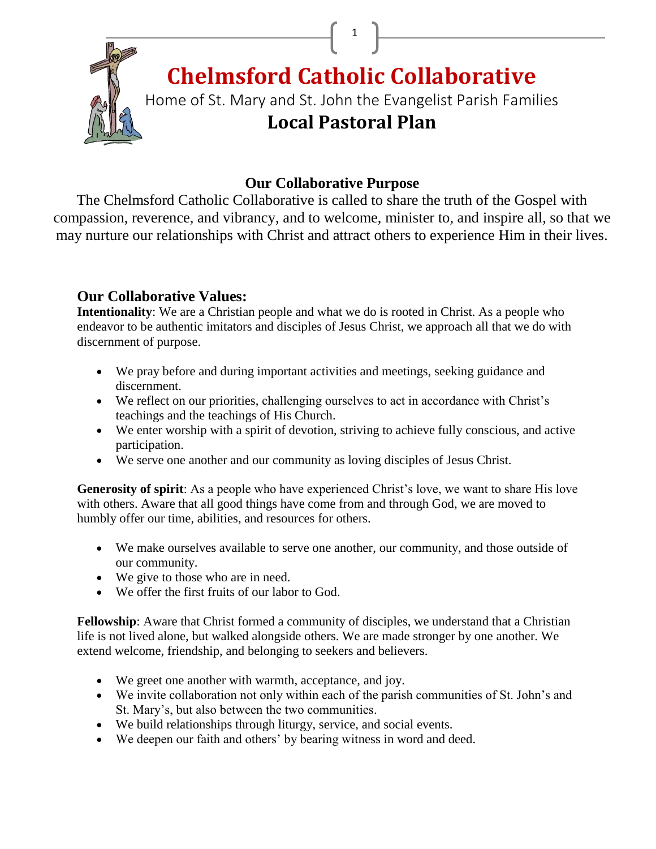

**Chelmsford Catholic Collaborative**

 $\begin{bmatrix} 1 \end{bmatrix}$ 

Home of St. Mary and St. John the Evangelist Parish Families **Local Pastoral Plan**

# **Our Collaborative Purpose**

The Chelmsford Catholic Collaborative is called to share the truth of the Gospel with compassion, reverence, and vibrancy, and to welcome, minister to, and inspire all, so that we may nurture our relationships with Christ and attract others to experience Him in their lives.

# **Our Collaborative Values:**

**Intentionality**: We are a Christian people and what we do is rooted in Christ. As a people who endeavor to be authentic imitators and disciples of Jesus Christ, we approach all that we do with discernment of purpose.

- We pray before and during important activities and meetings, seeking guidance and discernment.
- We reflect on our priorities, challenging ourselves to act in accordance with Christ's teachings and the teachings of His Church.
- We enter worship with a spirit of devotion, striving to achieve fully conscious, and active participation.
- We serve one another and our community as loving disciples of Jesus Christ.

**Generosity of spirit**: As a people who have experienced Christ's love, we want to share His love with others. Aware that all good things have come from and through God, we are moved to humbly offer our time, abilities, and resources for others.

- We make ourselves available to serve one another, our community, and those outside of our community.
- We give to those who are in need.
- We offer the first fruits of our labor to God.

**Fellowship**: Aware that Christ formed a community of disciples, we understand that a Christian life is not lived alone, but walked alongside others. We are made stronger by one another. We extend welcome, friendship, and belonging to seekers and believers.

- We greet one another with warmth, acceptance, and joy.
- We invite collaboration not only within each of the parish communities of St. John's and St. Mary's, but also between the two communities.
- We build relationships through liturgy, service, and social events.
- We deepen our faith and others' by bearing witness in word and deed.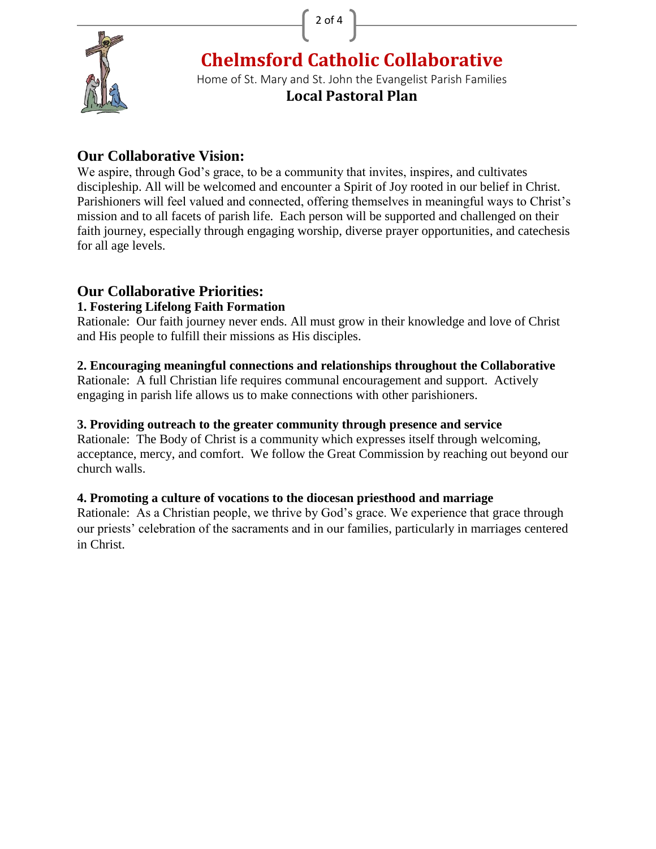2 of 4



**Chelmsford Catholic Collaborative**

Home of St. Mary and St. John the Evangelist Parish Families

**Local Pastoral Plan**

# **Our Collaborative Vision:**

We aspire, through God's grace, to be a community that invites, inspires, and cultivates discipleship. All will be welcomed and encounter a Spirit of Joy rooted in our belief in Christ. Parishioners will feel valued and connected, offering themselves in meaningful ways to Christ's mission and to all facets of parish life. Each person will be supported and challenged on their faith journey, especially through engaging worship, diverse prayer opportunities, and catechesis for all age levels.

# **Our Collaborative Priorities:**

## **1. Fostering Lifelong Faith Formation**

Rationale: Our faith journey never ends. All must grow in their knowledge and love of Christ and His people to fulfill their missions as His disciples.

### **2. Encouraging meaningful connections and relationships throughout the Collaborative**

Rationale: A full Christian life requires communal encouragement and support. Actively engaging in parish life allows us to make connections with other parishioners.

### **3. Providing outreach to the greater community through presence and service**

Rationale: The Body of Christ is a community which expresses itself through welcoming, acceptance, mercy, and comfort. We follow the Great Commission by reaching out beyond our church walls.

## **4. Promoting a culture of vocations to the diocesan priesthood and marriage**

Rationale: As a Christian people, we thrive by God's grace. We experience that grace through our priests' celebration of the sacraments and in our families, particularly in marriages centered in Christ.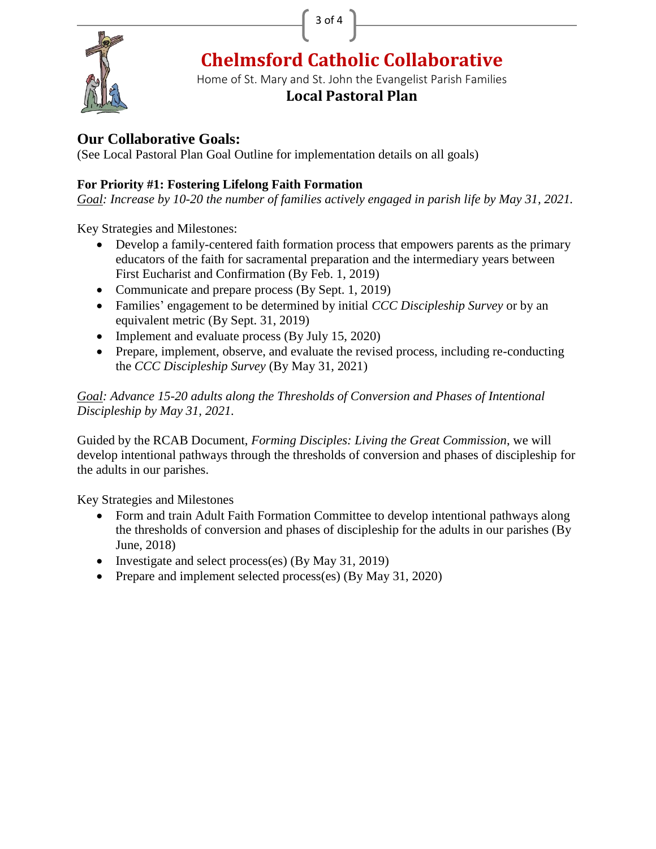



**Chelmsford Catholic Collaborative**

Home of St. Mary and St. John the Evangelist Parish Families

## **Local Pastoral Plan**

# **Our Collaborative Goals:**

(See Local Pastoral Plan Goal Outline for implementation details on all goals)

## **For Priority #1: Fostering Lifelong Faith Formation**

*Goal: Increase by 10-20 the number of families actively engaged in parish life by May 31, 2021.*

Key Strategies and Milestones:

- Develop a family-centered faith formation process that empowers parents as the primary educators of the faith for sacramental preparation and the intermediary years between First Eucharist and Confirmation (By Feb. 1, 2019)
- Communicate and prepare process (By Sept. 1, 2019)
- Families' engagement to be determined by initial *CCC Discipleship Survey* or by an equivalent metric (By Sept. 31, 2019)
- Implement and evaluate process (By July 15, 2020)
- Prepare, implement, observe, and evaluate the revised process, including re-conducting the *CCC Discipleship Survey* (By May 31, 2021)

#### *Goal: Advance 15-20 adults along the Thresholds of Conversion and Phases of Intentional Discipleship by May 31, 2021.*

Guided by the RCAB Document, *Forming Disciples: Living the Great Commission*, we will develop intentional pathways through the thresholds of conversion and phases of discipleship for the adults in our parishes.

Key Strategies and Milestones

- Form and train Adult Faith Formation Committee to develop intentional pathways along the thresholds of conversion and phases of discipleship for the adults in our parishes (By June, 2018)
- Investigate and select process(es) (By May 31, 2019)
- Prepare and implement selected process(es) (By May 31, 2020)